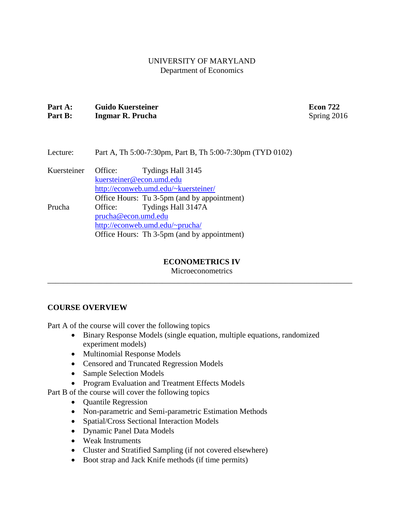## UNIVERSITY OF MARYLAND Department of Economics

# **Part A: Guido Kuersteiner Econ 722 Part B:** Ingmar R. Prucha Spring 2016

# Lecture: Part A, Th 5:00-7:30pm, Part B, Th 5:00-7:30pm (TYD 0102)

Kuersteiner Office: Tydings Hall 3145 [kuersteiner@econ.umd.edu](mailto:kuersteiner@econ.umd.edu) <http://econweb.umd.edu/~kuersteiner/> Office Hours: Tu 3-5pm (and by appointment) Prucha Office: Tydings Hall 3147A [prucha@econ.umd.edu](mailto:prucha@econ.umd.edu) <http://econweb.umd.edu/~prucha/> Office Hours: Th 3-5pm (and by appointment)

## **ECONOMETRICS IV**

**Microeconometrics** \_\_\_\_\_\_\_\_\_\_\_\_\_\_\_\_\_\_\_\_\_\_\_\_\_\_\_\_\_\_\_\_\_\_\_\_\_\_\_\_\_\_\_\_\_\_\_\_\_\_\_\_\_\_\_\_\_\_\_\_\_\_\_\_\_\_\_\_\_\_\_\_\_\_\_\_\_

# **COURSE OVERVIEW**

Part A of the course will cover the following topics

- Binary Response Models (single equation, multiple equations, randomized experiment models)
- Multinomial Response Models
- Censored and Truncated Regression Models
- Sample Selection Models
- Program Evaluation and Treatment Effects Models

Part B of the course will cover the following topics

- Quantile Regression
- Non-parametric and Semi-parametric Estimation Methods
- Spatial/Cross Sectional Interaction Models
- Dynamic Panel Data Models
- Weak Instruments
- Cluster and Stratified Sampling (if not covered elsewhere)
- Boot strap and Jack Knife methods (if time permits)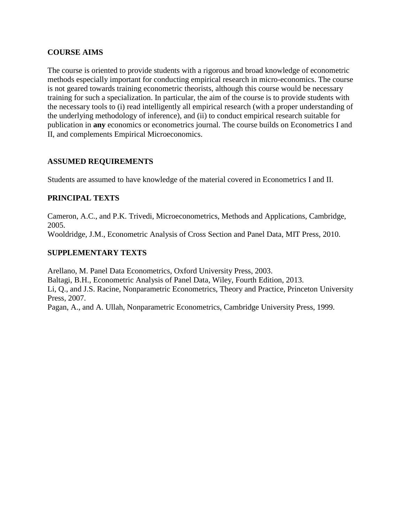# **COURSE AIMS**

The course is oriented to provide students with a rigorous and broad knowledge of econometric methods especially important for conducting empirical research in micro-economics. The course is not geared towards training econometric theorists, although this course would be necessary training for such a specialization. In particular, the aim of the course is to provide students with the necessary tools to (i) read intelligently all empirical research (with a proper understanding of the underlying methodology of inference), and (ii) to conduct empirical research suitable for publication in **any** economics or econometrics journal. The course builds on Econometrics I and II, and complements Empirical Microeconomics.

# **ASSUMED REQUIREMENTS**

Students are assumed to have knowledge of the material covered in Econometrics I and II.

## **PRINCIPAL TEXTS**

Cameron, A.C., and P.K. Trivedi, Microeconometrics, Methods and Applications, Cambridge, 2005. Wooldridge, J.M., Econometric Analysis of Cross Section and Panel Data, MIT Press, 2010.

## **SUPPLEMENTARY TEXTS**

Arellano, M. Panel Data Econometrics, Oxford University Press, 2003. Baltagi, B.H., Econometric Analysis of Panel Data, Wiley, Fourth Edition, 2013. Li, Q., and J.S. Racine, Nonparametric Econometrics, Theory and Practice, Princeton University Press, 2007.

Pagan, A., and A. Ullah, Nonparametric Econometrics, Cambridge University Press, 1999.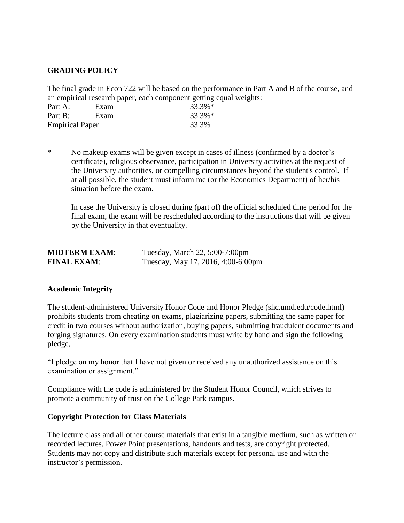## **GRADING POLICY**

The final grade in Econ 722 will be based on the performance in Part A and B of the course, and an empirical research paper, each component getting equal weights:

| Part A:                | Exam | 33.3%* |
|------------------------|------|--------|
| Part B:                | Exam | 33.3%* |
| <b>Empirical Paper</b> |      | 33.3%  |

\* No makeup exams will be given except in cases of illness (confirmed by a doctor's certificate), religious observance, participation in University activities at the request of the University authorities, or compelling circumstances beyond the student's control. If at all possible, the student must inform me (or the Economics Department) of her/his situation before the exam.

In case the University is closed during (part of) the official scheduled time period for the final exam, the exam will be rescheduled according to the instructions that will be given by the University in that eventuality.

| <b>MIDTERM EXAM:</b> | Tuesday, March 22, 5:00-7:00pm     |
|----------------------|------------------------------------|
| <b>FINAL EXAM:</b>   | Tuesday, May 17, 2016, 4:00-6:00pm |

## **Academic Integrity**

The student-administered University Honor Code and Honor Pledge (shc.umd.edu/code.html) prohibits students from cheating on exams, plagiarizing papers, submitting the same paper for credit in two courses without authorization, buying papers, submitting fraudulent documents and forging signatures. On every examination students must write by hand and sign the following pledge,

"I pledge on my honor that I have not given or received any unauthorized assistance on this examination or assignment."

Compliance with the code is administered by the Student Honor Council, which strives to promote a community of trust on the College Park campus.

#### **Copyright Protection for Class Materials**

The lecture class and all other course materials that exist in a tangible medium, such as written or recorded lectures, Power Point presentations, handouts and tests, are copyright protected. Students may not copy and distribute such materials except for personal use and with the instructor's permission.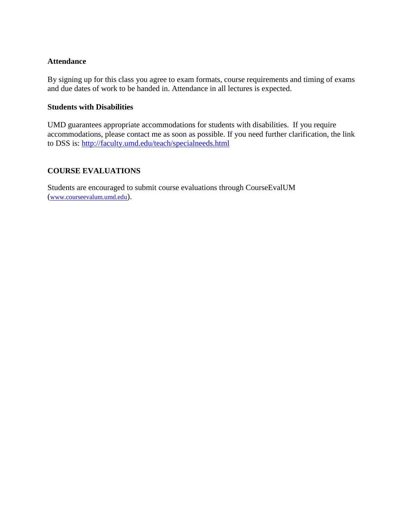## **Attendance**

By signing up for this class you agree to exam formats, course requirements and timing of exams and due dates of work to be handed in. Attendance in all lectures is expected.

## **Students with Disabilities**

UMD guarantees appropriate accommodations for students with disabilities. If you require accommodations, please contact me as soon as possible. If you need further clarification, the link to DSS is:<http://faculty.umd.edu/teach/specialneeds.html>

# **COURSE EVALUATIONS**

Students are encouraged to submit course evaluations through CourseEvalUM ([www.courseevalum.umd.edu](http://www.courseevalum.umd.edu/)).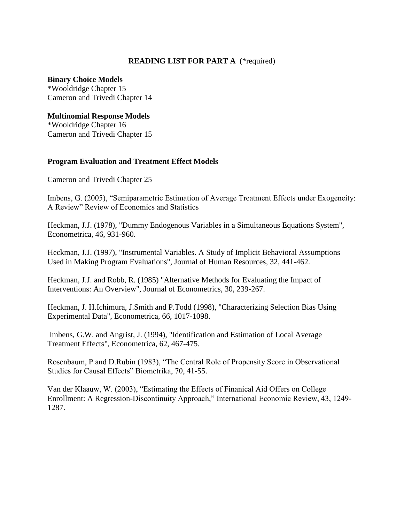# **READING LIST FOR PART A** (\*required)

#### **Binary Choice Models**

\*Wooldridge Chapter 15 Cameron and Trivedi Chapter 14

## **Multinomial Response Models**

\*Wooldridge Chapter 16 Cameron and Trivedi Chapter 15

## **Program Evaluation and Treatment Effect Models**

Cameron and Trivedi Chapter 25

Imbens, G. (2005), "Semiparametric Estimation of Average Treatment Effects under Exogeneity: A Review" Review of Economics and Statistics

Heckman, J.J. (1978), "Dummy Endogenous Variables in a Simultaneous Equations System", Econometrica, 46, 931-960.

Heckman, J.J. (1997), "Instrumental Variables. A Study of Implicit Behavioral Assumptions Used in Making Program Evaluations", Journal of Human Resources, 32, 441-462.

Heckman, J.J. and Robb, R. (1985) "Alternative Methods for Evaluating the Impact of Interventions: An Overview", Journal of Econometrics, 30, 239-267.

Heckman, J. H.Ichimura, J.Smith and P.Todd (1998), "Characterizing Selection Bias Using Experimental Data", Econometrica, 66, 1017-1098.

Imbens, G.W. and Angrist, J. (1994), "Identification and Estimation of Local Average Treatment Effects", Econometrica, 62, 467-475.

Rosenbaum, P and D.Rubin (1983), "The Central Role of Propensity Score in Observational Studies for Causal Effects" Biometrika, 70, 41-55.

Van der Klaauw, W. (2003), "Estimating the Effects of Finanical Aid Offers on College Enrollment: A Regression-Discontinuity Approach," International Economic Review, 43, 1249- 1287.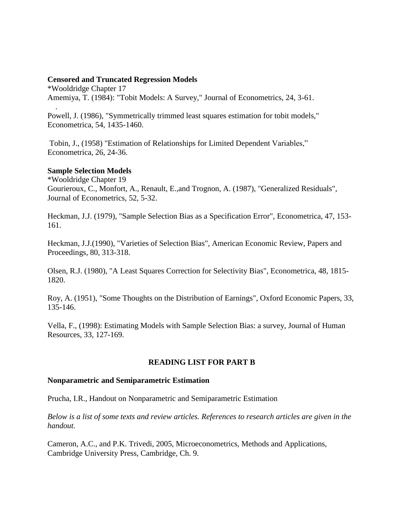#### **Censored and Truncated Regression Models**

\*Wooldridge Chapter 17 Amemiya, T. (1984): "Tobit Models: A Survey," Journal of Econometrics, 24, 3-61.

Powell, J. (1986), "Symmetrically trimmed least squares estimation for tobit models," Econometrica, 54, 1435-1460.

Tobin, J., (1958) "Estimation of Relationships for Limited Dependent Variables," Econometrica, 26, 24-36.

## **Sample Selection Models**

.

\*Wooldridge Chapter 19 Gourieroux, C., Monfort, A., Renault, E.,and Trognon, A. (1987), "Generalized Residuals", Journal of Econometrics, 52, 5-32.

Heckman, J.J. (1979), "Sample Selection Bias as a Specification Error", Econometrica, 47, 153- 161.

Heckman, J.J.(1990), "Varieties of Selection Bias", American Economic Review, Papers and Proceedings, 80, 313-318.

Olsen, R.J. (1980), "A Least Squares Correction for Selectivity Bias", Econometrica, 48, 1815- 1820.

Roy, A. (1951), "Some Thoughts on the Distribution of Earnings", Oxford Economic Papers, 33, 135-146.

Vella, F., (1998): Estimating Models with Sample Selection Bias: a survey, Journal of Human Resources, 33, 127-169.

## **READING LIST FOR PART B**

#### **Nonparametric and Semiparametric Estimation**

Prucha, I.R., Handout on Nonparametric and Semiparametric Estimation

*Below is a list of some texts and review articles. References to research articles are given in the handout*.

Cameron, A.C., and P.K. Trivedi, 2005, Microeconometrics, Methods and Applications, Cambridge University Press, Cambridge, Ch. 9.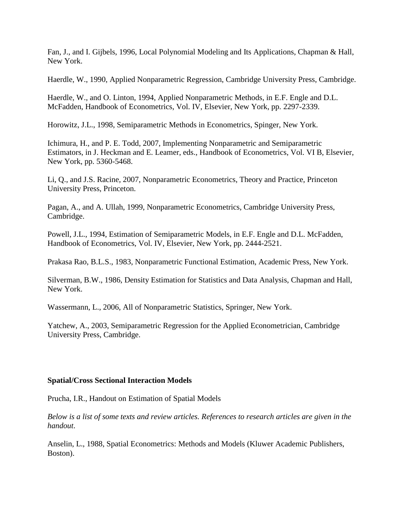Fan, J., and I. Gijbels, 1996, Local Polynomial Modeling and Its Applications, Chapman & Hall, New York.

Haerdle, W., 1990, Applied Nonparametric Regression, Cambridge University Press, Cambridge.

Haerdle, W., and O. Linton, 1994, Applied Nonparametric Methods, in E.F. Engle and D.L. McFadden, Handbook of Econometrics, Vol. IV, Elsevier, New York, pp. 2297-2339.

Horowitz, J.L., 1998, Semiparametric Methods in Econometrics, Spinger, New York.

Ichimura, H., and P. E. Todd, 2007, Implementing Nonparametric and Semiparametric Estimators, in J. Heckman and E. Leamer, eds., Handbook of Econometrics, Vol. VI B, Elsevier, New York, pp. 5360-5468.

Li, Q., and J.S. Racine, 2007, Nonparametric Econometrics, Theory and Practice, Princeton University Press, Princeton.

Pagan, A., and A. Ullah, 1999, Nonparametric Econometrics, Cambridge University Press, Cambridge.

Powell, J.L., 1994, Estimation of Semiparametric Models, in E.F. Engle and D.L. McFadden, Handbook of Econometrics, Vol. IV, Elsevier, New York, pp. 2444-2521.

Prakasa Rao, B.L.S., 1983, Nonparametric Functional Estimation, Academic Press, New York.

Silverman, B.W., 1986, Density Estimation for Statistics and Data Analysis, Chapman and Hall, New York.

Wassermann, L., 2006, All of Nonparametric Statistics, Springer, New York.

Yatchew, A., 2003, Semiparametric Regression for the Applied Econometrician, Cambridge University Press, Cambridge.

## **Spatial/Cross Sectional Interaction Models**

Prucha, I.R., Handout on Estimation of Spatial Models

*Below is a list of some texts and review articles. References to research articles are given in the handout*.

Anselin, L., 1988, Spatial Econometrics: Methods and Models (Kluwer Academic Publishers, Boston).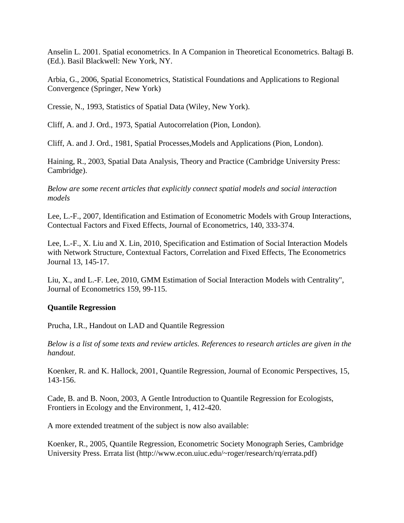Anselin L. 2001. Spatial econometrics. In A Companion in Theoretical Econometrics. Baltagi B. (Ed.). Basil Blackwell: New York, NY.

Arbia, G., 2006, Spatial Econometrics, Statistical Foundations and Applications to Regional Convergence (Springer, New York)

Cressie, N., 1993, Statistics of Spatial Data (Wiley, New York).

Cliff, A. and J. Ord., 1973, Spatial Autocorrelation (Pion, London).

Cliff, A. and J. Ord., 1981, Spatial Processes,Models and Applications (Pion, London).

Haining, R., 2003, Spatial Data Analysis, Theory and Practice (Cambridge University Press: Cambridge).

*Below are some recent articles that explicitly connect spatial models and social interaction models*

Lee, L.-F., 2007, Identification and Estimation of Econometric Models with Group Interactions, Contectual Factors and Fixed Effects, Journal of Econometrics, 140, 333-374.

Lee, L.-F., X. Liu and X. Lin, 2010, Specification and Estimation of Social Interaction Models with Network Structure, Contextual Factors, Correlation and Fixed Effects, The Econometrics Journal 13, 145-17.

Liu, X., and L.-F. Lee, 2010, GMM Estimation of Social Interaction Models with Centrality", Journal of Econometrics 159, 99-115.

# **Quantile Regression**

Prucha, I.R., Handout on LAD and Quantile Regression

*Below is a list of some texts and review articles. References to research articles are given in the handout*.

Koenker, R. and K. Hallock, 2001, Quantile Regression, Journal of Economic Perspectives, 15, 143-156.

Cade, B. and B. Noon, 2003, A Gentle Introduction to Quantile Regression for Ecologists, Frontiers in Ecology and the Environment, 1, 412-420.

A more extended treatment of the subject is now also available:

Koenker, R., 2005, Quantile Regression, Econometric Society Monograph Series, Cambridge University Press. Errata list (http://www.econ.uiuc.edu/~roger/research/rq/errata.pdf)